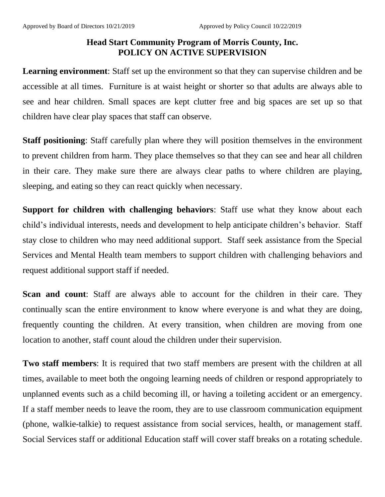## **Head Start Community Program of Morris County, Inc. POLICY ON ACTIVE SUPERVISION**

**Learning environment**: Staff set up the environment so that they can supervise children and be accessible at all times. Furniture is at waist height or shorter so that adults are always able to see and hear children. Small spaces are kept clutter free and big spaces are set up so that children have clear play spaces that staff can observe.

**Staff positioning**: Staff carefully plan where they will position themselves in the environment to prevent children from harm. They place themselves so that they can see and hear all children in their care. They make sure there are always clear paths to where children are playing, sleeping, and eating so they can react quickly when necessary.

**Support for children with challenging behaviors**: Staff use what they know about each child's individual interests, needs and development to help anticipate children's behavior. Staff stay close to children who may need additional support. Staff seek assistance from the Special Services and Mental Health team members to support children with challenging behaviors and request additional support staff if needed.

**Scan and count**: Staff are always able to account for the children in their care. They continually scan the entire environment to know where everyone is and what they are doing, frequently counting the children. At every transition, when children are moving from one location to another, staff count aloud the children under their supervision.

**Two staff members**: It is required that two staff members are present with the children at all times, available to meet both the ongoing learning needs of children or respond appropriately to unplanned events such as a child becoming ill, or having a toileting accident or an emergency. If a staff member needs to leave the room, they are to use classroom communication equipment (phone, walkie-talkie) to request assistance from social services, health, or management staff. Social Services staff or additional Education staff will cover staff breaks on a rotating schedule.